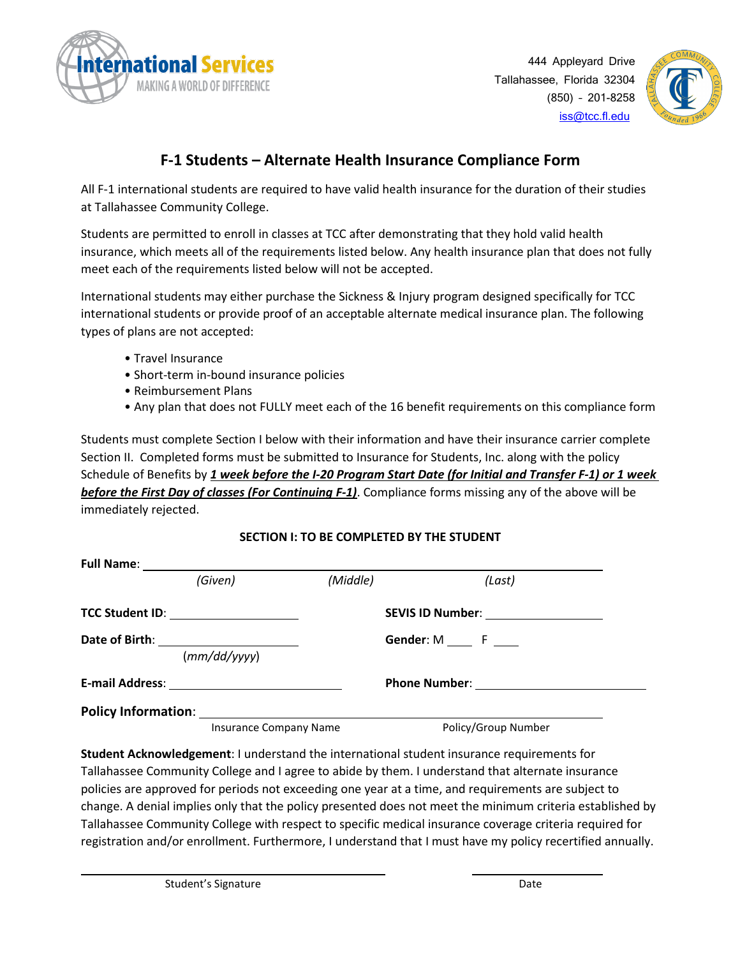

Tallahassee, Florida 32304 (850) – 201-8258 [iss@tcc.fl.edu](mailto:iss@tcc.fl.edu)



## **F-1 Students – Alternate Health Insurance Compliance Form**

All F-1 international students are required to have valid health insurance for the duration of their studies at Tallahassee Community College.

Students are permitted to enroll in classes at TCC after demonstrating that they hold valid health insurance, which meets all of the requirements listed below. Any health insurance plan that does not fully meet each of the requirements listed below will not be accepted.

International students may either purchase the Sickness & Injury program designed specifically for TCC international students or provide proof of an acceptable alternate medical insurance plan. The following types of plans are not accepted:

- Travel Insurance
- Short-term in-bound insurance policies
- Reimbursement Plans
- Any plan that does not FULLY meet each of the 16 benefit requirements on this compliance form

Students must complete Section I below with their information and have their insurance carrier complete Section II. Completed forms must be submitted to Insurance for Students, Inc. along with the policy Schedule of Benefits by *1 week before the I-20 Program Start Date (for Initial and Transfer F-1) or 1 week before the First Day of classes (For Continuing F-1)*. Compliance forms missing any of the above will be immediately rejected.

## **SECTION I: TO BE COMPLETED BY THE STUDENT**

| Full Name: <u>_______________________</u> |                  |          |                                      |
|-------------------------------------------|------------------|----------|--------------------------------------|
|                                           | (Given)          | (Middle) | (Last)                               |
| TCC Student ID: _____________________     |                  |          | SEVIS ID Number: ___________________ |
| Date of Birth: _________________________  |                  |          | Gender: M F                          |
|                                           | (mm/dd/yyyy)     |          |                                      |
|                                           |                  |          |                                      |
|                                           |                  |          |                                      |
|                                           | $l_{\text{max}}$ |          | Delise Concert Message               |

Insurance Company Name **Policy/Group Number** 

**Student Acknowledgement**: I understand the international student insurance requirements for Tallahassee Community College and I agree to abide by them. I understand that alternate insurance policies are approved for periods not exceeding one year at a time, and requirements are subject to change. A denial implies only that the policy presented does not meet the minimum criteria established by Tallahassee Community College with respect to specific medical insurance coverage criteria required for registration and/or enrollment. Furthermore, I understand that I must have my policy recertified annually.

 $\overline{a}$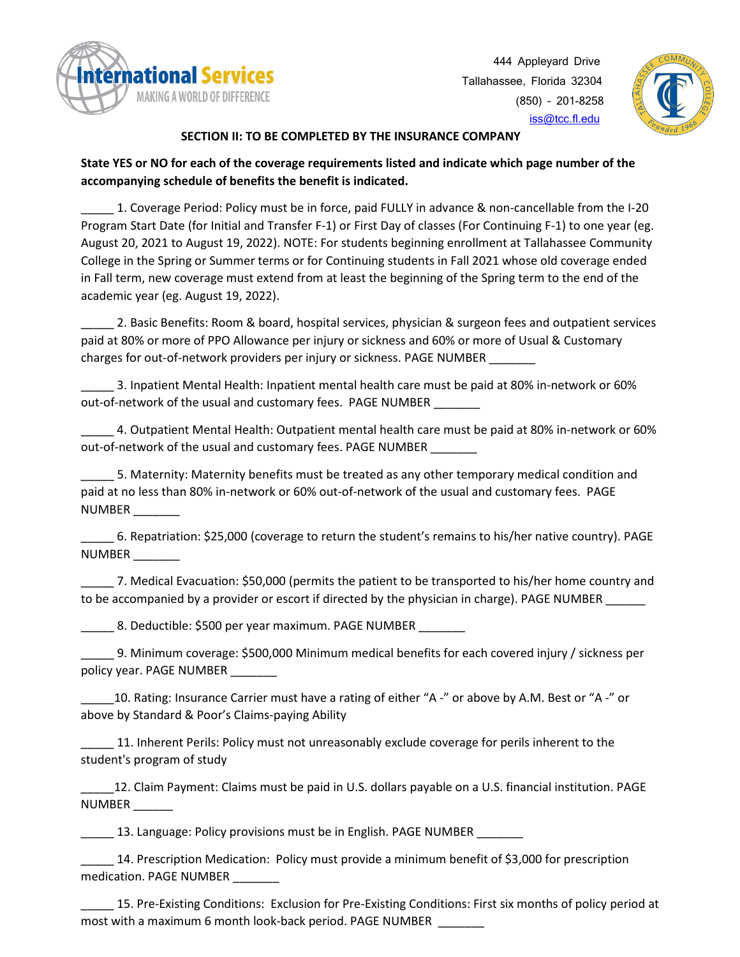

 444 Appleyard Drive Tallahassee, Florida 32304 (850) – 201-8258 [iss@tcc.fl.edu](mailto:iss@tcc.fl.edu)



## **SECTION II: TO BE COMPLETED BY THE INSURANCE COMPANY**

## **State YES or NO for each of the coverage requirements listed and indicate which page number of the accompanying schedule of benefits the benefit is indicated.**

\_\_\_\_\_ 1. Coverage Period: Policy must be in force, paid FULLY in advance & non-cancellable from the I-20 Program Start Date (for Initial and Transfer F-1) or First Day of classes (For Continuing F-1) to one year (eg. August 20, 2021 to August 19, 2022). NOTE: For students beginning enrollment at Tallahassee Community College in the Spring or Summer terms or for Continuing students in Fall 2021 whose old coverage ended in Fall term, new coverage must extend from at least the beginning of the Spring term to the end of the academic year (eg. August 19, 2022).

\_\_\_\_\_ 2. Basic Benefits: Room & board, hospital services, physician & surgeon fees and outpatient services paid at 80% or more of PPO Allowance per injury or sickness and 60% or more of Usual & Customary charges for out-of-network providers per injury or sickness. PAGE NUMBER \_\_\_\_\_\_\_

\_\_\_\_\_ 3. Inpatient Mental Health: Inpatient mental health care must be paid at 80% in-network or 60% out-of-network of the usual and customary fees. PAGE NUMBER \_\_\_\_\_\_\_

\_\_\_\_\_ 4. Outpatient Mental Health: Outpatient mental health care must be paid at 80% in-network or 60% out-of-network of the usual and customary fees. PAGE NUMBER

\_\_\_\_\_ 5. Maternity: Maternity benefits must be treated as any other temporary medical condition and paid at no less than 80% in-network or 60% out-of-network of the usual and customary fees. PAGE NUMBER \_\_\_\_\_\_\_

\_\_\_\_\_ 6. Repatriation: \$25,000 (coverage to return the student's remains to his/her native country). PAGE NUMBER \_\_\_\_\_\_\_

\_\_\_\_\_ 7. Medical Evacuation: \$50,000 (permits the patient to be transported to his/her home country and to be accompanied by a provider or escort if directed by the physician in charge). PAGE NUMBER

8. Deductible: \$500 per year maximum. PAGE NUMBER \_\_\_\_\_\_\_

\_\_\_\_\_ 9. Minimum coverage: \$500,000 Minimum medical benefits for each covered injury / sickness per policy year. PAGE NUMBER \_\_\_\_\_\_\_

\_\_\_\_\_10. Rating: Insurance Carrier must have a rating of either "A -" or above by A.M. Best or "A -" or above by Standard & Poor's Claims-paying Ability

11. Inherent Perils: Policy must not unreasonably exclude coverage for perils inherent to the student's program of study

12. Claim Payment: Claims must be paid in U.S. dollars payable on a U.S. financial institution. PAGE NUMBER \_\_\_\_\_\_

13. Language: Policy provisions must be in English. PAGE NUMBER \_\_\_\_\_\_\_

14. Prescription Medication: Policy must provide a minimum benefit of \$3,000 for prescription medication. PAGE NUMBER

15. Pre-Existing Conditions: Exclusion for Pre-Existing Conditions: First six months of policy period at most with a maximum 6 month look-back period. PAGE NUMBER \_\_\_\_\_\_\_